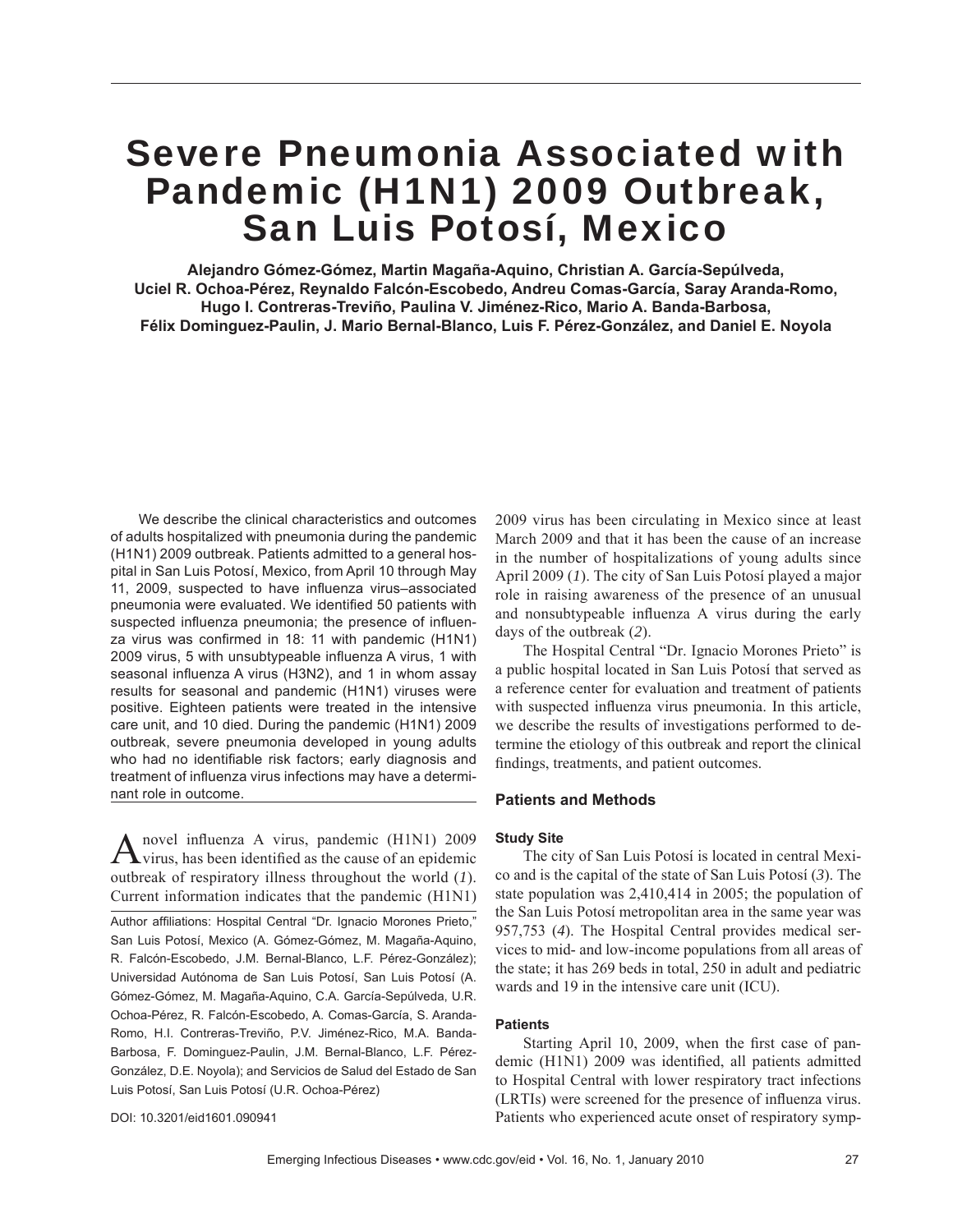# Severe Pneumonia Associated with Pandemic (H1N1) 2009 Outbreak, San Luis Potosí, Mexico

**Alejandro Gómez-Gómez, Martin Magaña-Aquino, Christian A. García-Sepúlveda, Uciel R. Ochoa-Pérez, Reynaldo Falcón-Escobedo, Andreu Comas-García, Saray Aranda-Romo, Hugo I. Contreras-Treviño, Paulina V. Jiménez-Rico, Mario A. Banda-Barbosa, Félix Dominguez-Paulin, J. Mario Bernal-Blanco, Luis F. Pérez-González, and Daniel E. Noyola**

We describe the clinical characteristics and outcomes of adults hospitalized with pneumonia during the pandemic (H1N1) 2009 outbreak. Patients admitted to a general hospital in San Luis Potosí, Mexico, from April 10 through May 11, 2009, suspected to have influenza virus–associated pneumonia were evaluated. We identified 50 patients with suspected influenza pneumonia; the presence of influenza virus was confirmed in 18: 11 with pandemic (H1N1) 2009 virus, 5 with unsubtypeable influenza A virus, 1 with seasonal influenza A virus (H3N2), and 1 in whom assay results for seasonal and pandemic (H1N1) viruses were positive. Eighteen patients were treated in the intensive care unit, and 10 died. During the pandemic (H1N1) 2009 outbreak, severe pneumonia developed in young adults who had no identifiable risk factors; early diagnosis and treatment of influenza virus infections may have a determinant role in outcome.

A novel influenza A virus, pandemic  $(H1N1)$  2009 Virus, has been identified as the cause of an epidemic outbreak of respiratory illness throughout the world (*1*). Current information indicates that the pandemic (H1N1)

Author affiliations: Hospital Central "Dr. Ignacio Morones Prieto," San Luis Potosí, Mexico (A. Gómez-Gómez, M. Magaña-Aquino, R. Falcón-Escobedo, J.M. Bernal-Blanco, L.F. Pérez-González); Universidad Autónoma de San Luis Potosí, San Luis Potosí (A. Gómez-Gómez, M. Magaña-Aquino, C.A. García-Sepúlveda, U.R. Ochoa-Pérez, R. Falcón-Escobedo, A. Comas-García, S. Aranda-Romo, H.I. Contreras-Treviño, P.V. Jiménez-Rico, M.A. Banda-Barbosa, F. Dominguez-Paulin, J.M. Bernal-Blanco, L.F. Pérez-González, D.E. Noyola); and Servicios de Salud del Estado de San Luis Potosí, San Luis Potosí (U.R. Ochoa-Pérez)

DOI: 10.3201/eid1601.090941

2009 virus has been circulating in Mexico since at least March 2009 and that it has been the cause of an increase in the number of hospitalizations of young adults since April 2009 (*1*). The city of San Luis Potosí played a major role in raising awareness of the presence of an unusual and nonsubtypeable influenza A virus during the early days of the outbreak (*2*).

The Hospital Central "Dr. Ignacio Morones Prieto" is a public hospital located in San Luis Potosí that served as a reference center for evaluation and treatment of patients with suspected influenza virus pneumonia. In this article, we describe the results of investigations performed to determine the etiology of this outbreak and report the clinical findings, treatments, and patient outcomes.

#### **Patients and Methods**

#### **Study Site**

The city of San Luis Potosí is located in central Mexico and is the capital of the state of San Luis Potosí (*3*). The state population was 2,410,414 in 2005; the population of the San Luis Potosí metropolitan area in the same year was 957,753 (*4*). The Hospital Central provides medical services to mid- and low-income populations from all areas of the state; it has 269 beds in total, 250 in adult and pediatric wards and 19 in the intensive care unit (ICU).

# **Patients**

Starting April 10, 2009, when the first case of pandemic (H1N1) 2009 was identified, all patients admitted to Hospital Central with lower respiratory tract infections (LRTIs) were screened for the presence of influenza virus. Patients who experienced acute onset of respiratory symp-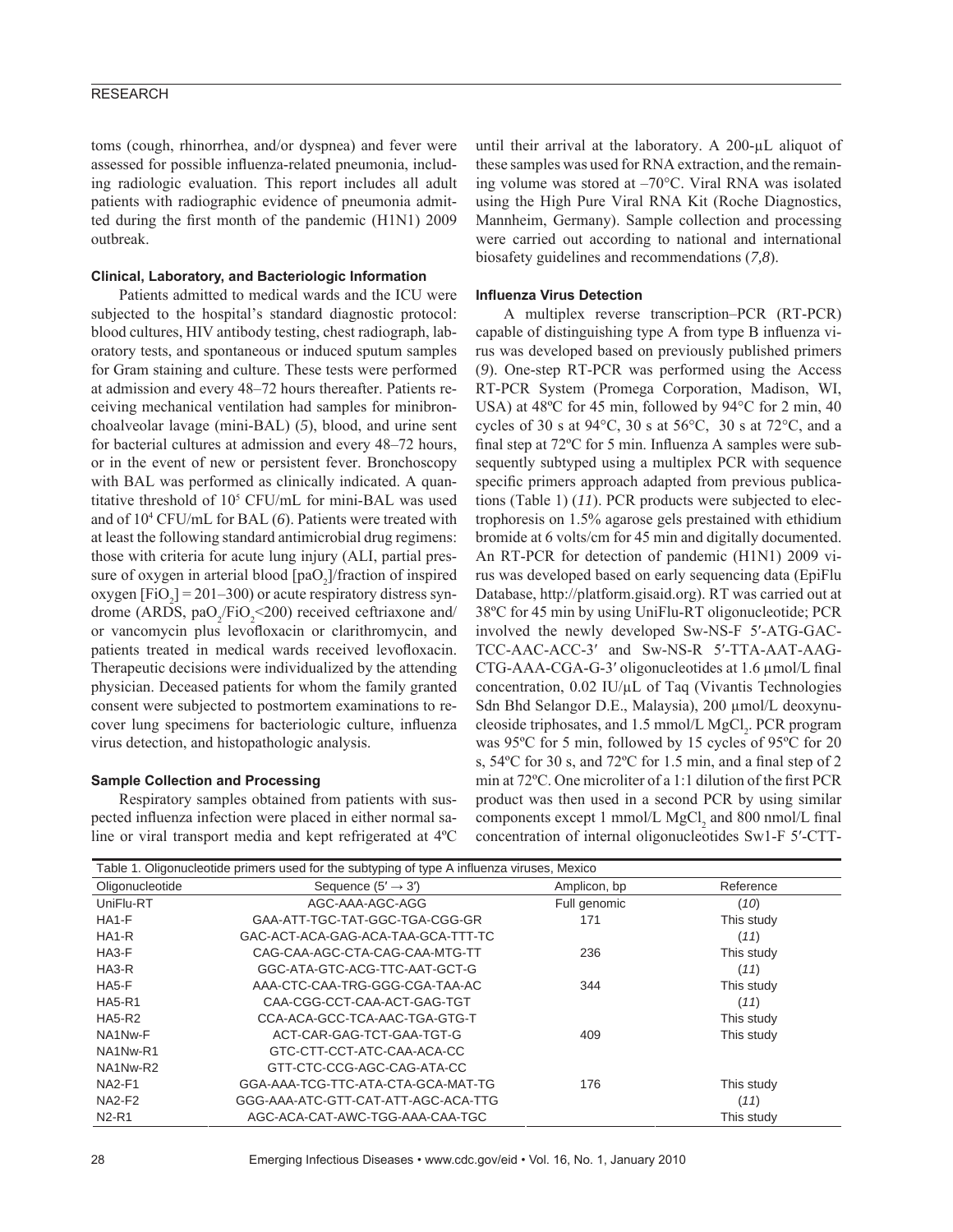toms (cough, rhinorrhea, and/or dyspnea) and fever were assessed for possible influenza-related pneumonia, including radiologic evaluation. This report includes all adult patients with radiographic evidence of pneumonia admitted during the first month of the pandemic (H1N1) 2009 outbreak.

### **Clinical, Laboratory, and Bacteriologic Information**

Patients admitted to medical wards and the ICU were subjected to the hospital's standard diagnostic protocol: blood cultures, HIV antibody testing, chest radiograph, laboratory tests, and spontaneous or induced sputum samples for Gram staining and culture. These tests were performed at admission and every 48–72 hours thereafter. Patients receiving mechanical ventilation had samples for minibronchoalveolar lavage (mini-BAL) (*5*), blood, and urine sent for bacterial cultures at admission and every 48–72 hours, or in the event of new or persistent fever. Bronchoscopy with BAL was performed as clinically indicated. A quantitative threshold of 105 CFU/mL for mini-BAL was used and of 104 CFU/mL for BAL (*6*). Patients were treated with at least the following standard antimicrobial drug regimens: those with criteria for acute lung injury (ALI, partial pressure of oxygen in arterial blood  $[paO_2]$ /fraction of inspired oxygen  $[FiO<sub>2</sub>] = 201-300$  or acute respiratory distress syndrome (ARDS,  $paO_2/FiO_2 \leq 200$ ) received ceftriaxone and/ or vancomycin plus levofloxacin or clarithromycin, and patients treated in medical wards received levofloxacin. Therapeutic decisions were individualized by the attending physician. Deceased patients for whom the family granted consent were subjected to postmortem examinations to recover lung specimens for bacteriologic culture, influenza virus detection, and histopathologic analysis.

# **Sample Collection and Processing**

Respiratory samples obtained from patients with suspected influenza infection were placed in either normal saline or viral transport media and kept refrigerated at 4ºC until their arrival at the laboratory. A 200-μL aliquot of these samples was used for RNA extraction, and the remaining volume was stored at –70°C. Viral RNA was isolated using the High Pure Viral RNA Kit (Roche Diagnostics, Mannheim, Germany). Sample collection and processing were carried out according to national and international biosafety guidelines and recommendations (*7,8*).

# **Influenza Virus Detection**

A multiplex reverse transcription–PCR (RT-PCR) capable of distinguishing type A from type B influenza virus was developed based on previously published primers (*9*). One-step RT-PCR was performed using the Access RT-PCR System (Promega Corporation, Madison, WI, USA) at 48ºC for 45 min, followed by 94°C for 2 min, 40 cycles of 30 s at 94°C, 30 s at 56°C, 30 s at 72°C, and a final step at 72°C for 5 min. Influenza A samples were subsequently subtyped using a multiplex PCR with sequence specific primers approach adapted from previous publications (Table 1) (*11*). PCR products were subjected to electrophoresis on 1.5% agarose gels prestained with ethidium bromide at 6 volts/cm for 45 min and digitally documented. An RT-PCR for detection of pandemic (H1N1) 2009 virus was developed based on early sequencing data (EpiFlu Database, http://platform.gisaid.org). RT was carried out at 38ºC for 45 min by using UniFlu-RT oligonucleotide; PCR involved the newly developed Sw-NS-F 5′-ATG-GAC-TCC-AAC-ACC-3′ and Sw-NS-R 5′-TTA-AAT-AAG- $CTG-AAA-CGA-G-3'$  oligonucleotides at  $1.6 \mu$ mol/L final concentration, 0.02 IU/μL of Taq (Vivantis Technologies Sdn Bhd Selangor D.E., Malaysia), 200 μmol/L deoxynucleoside triphosates, and  $1.5 \text{ mmol/L MgCl}_2$ . PCR program was 95ºC for 5 min, followed by 15 cycles of 95ºC for 20 s,  $54^{\circ}$ C for 30 s, and  $72^{\circ}$ C for 1.5 min, and a final step of 2 min at  $72^{\circ}$ C. One microliter of a 1:1 dilution of the first PCR product was then used in a second PCR by using similar components except 1 mmol/L  $MgCl<sub>2</sub>$  and 800 nmol/L final concentration of internal oligonucleotides Sw1-F 5′-CTT-

| Table 1. Oligonucleotide primers used for the subtyping of type A influenza viruses, Mexico |                                     |              |            |  |
|---------------------------------------------------------------------------------------------|-------------------------------------|--------------|------------|--|
| Oligonucleotide                                                                             | Sequence $(5' \rightarrow 3')$      | Amplicon, bp | Reference  |  |
| UniFlu-RT                                                                                   | AGC-AAA-AGC-AGG                     | Full genomic | (10)       |  |
| $HA1-F$                                                                                     | GAA-ATT-TGC-TAT-GGC-TGA-CGG-GR      | 171          | This study |  |
| HA <sub>1-R</sub>                                                                           | GAC-ACT-ACA-GAG-ACA-TAA-GCA-TTT-TC  |              | (11)       |  |
| HA3-F                                                                                       | CAG-CAA-AGC-CTA-CAG-CAA-MTG-TT      | 236          | This study |  |
| HA3-R                                                                                       | GGC-ATA-GTC-ACG-TTC-AAT-GCT-G       |              | (11)       |  |
| HA5-F                                                                                       | AAA-CTC-CAA-TRG-GGG-CGA-TAA-AC      | 344          | This study |  |
| <b>HA5-R1</b>                                                                               | CAA-CGG-CCT-CAA-ACT-GAG-TGT         |              | (11)       |  |
| <b>HA5-R2</b>                                                                               | CCA-ACA-GCC-TCA-AAC-TGA-GTG-T       |              | This study |  |
| NA1Nw-F                                                                                     | ACT-CAR-GAG-TCT-GAA-TGT-G           | 409          | This study |  |
| NA <sub>1</sub> N <sub>w</sub> -R <sub>1</sub>                                              | GTC-CTT-CCT-ATC-CAA-ACA-CC          |              |            |  |
| NA1Nw-R2                                                                                    | GTT-CTC-CCG-AGC-CAG-ATA-CC          |              |            |  |
| <b>NA2-F1</b>                                                                               | GGA-AAA-TCG-TTC-ATA-CTA-GCA-MAT-TG  | 176          | This study |  |
| <b>NA2-F2</b>                                                                               | GGG-AAA-ATC-GTT-CAT-ATT-AGC-ACA-TTG |              | (11)       |  |
| $N2-R1$                                                                                     | AGC-ACA-CAT-AWC-TGG-AAA-CAA-TGC     |              | This study |  |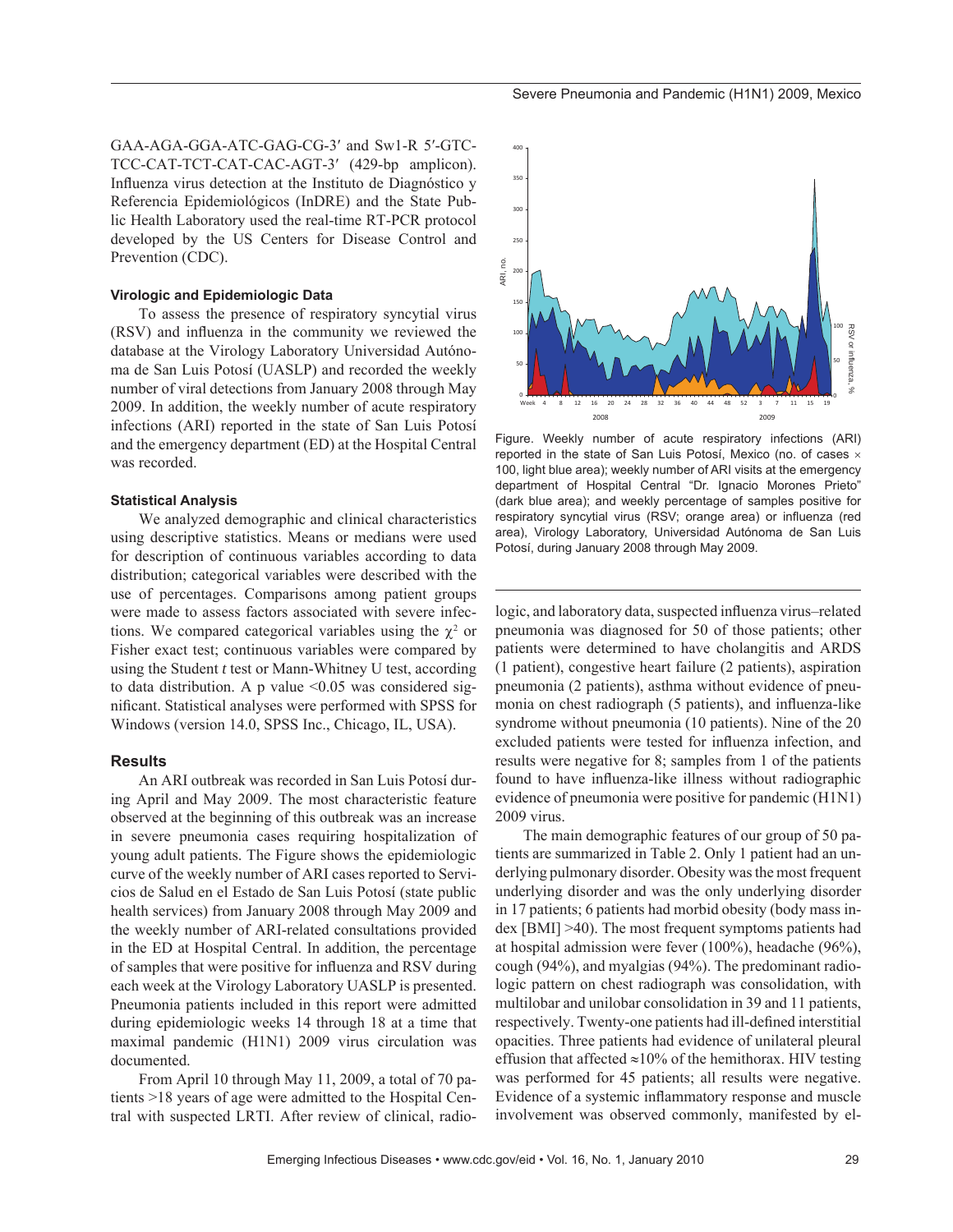GAA-AGA-GGA-ATC-GAG-CG-3′ and Sw1-R 5′-GTC-TCC-CAT-TCT-CAT-CAC-AGT-3′ (429-bp amplicon). Influenza virus detection at the Instituto de Diagnóstico y Referencia Epidemiológicos (InDRE) and the State Public Health Laboratory used the real-time RT-PCR protocol developed by the US Centers for Disease Control and Prevention (CDC).

#### **Virologic and Epidemiologic Data**

To assess the presence of respiratory syncytial virus (RSV) and influenza in the community we reviewed the database at the Virology Laboratory Universidad Autónoma de San Luis Potosí (UASLP) and recorded the weekly number of viral detections from January 2008 through May 2009. In addition, the weekly number of acute respiratory infections (ARI) reported in the state of San Luis Potosí and the emergency department (ED) at the Hospital Central was recorded.

#### **Statistical Analysis**

We analyzed demographic and clinical characteristics using descriptive statistics. Means or medians were used for description of continuous variables according to data distribution; categorical variables were described with the use of percentages. Comparisons among patient groups were made to assess factors associated with severe infections. We compared categorical variables using the  $\chi^2$  or Fisher exact test; continuous variables were compared by using the Student *t* test or Mann-Whitney U test, according to data distribution. A p value  $\leq 0.05$  was considered significant. Statistical analyses were performed with SPSS for Windows (version 14.0, SPSS Inc., Chicago, IL, USA).

# **Results**

An ARI outbreak was recorded in San Luis Potosí during April and May 2009. The most characteristic feature observed at the beginning of this outbreak was an increase in severe pneumonia cases requiring hospitalization of young adult patients. The Figure shows the epidemiologic curve of the weekly number of ARI cases reported to Servicios de Salud en el Estado de San Luis Potosí (state public health services) from January 2008 through May 2009 and the weekly number of ARI-related consultations provided in the ED at Hospital Central. In addition, the percentage of samples that were positive for influenza and RSV during each week at the Virology Laboratory UASLP is presented. Pneumonia patients included in this report were admitted during epidemiologic weeks 14 through 18 at a time that maximal pandemic (H1N1) 2009 virus circulation was documented.

From April 10 through May 11, 2009, a total of 70 patients >18 years of age were admitted to the Hospital Central with suspected LRTI. After review of clinical, radio-



Figure. Weekly number of acute respiratory infections (ARI) reported in the state of San Luis Potosí, Mexico (no. of cases  $\times$ 100, light blue area); weekly number of ARI visits at the emergency department of Hospital Central "Dr. Ignacio Morones Prieto" (dark blue area); and weekly percentage of samples positive for respiratory syncytial virus (RSV; orange area) or influenza (red area), Virology Laboratory, Universidad Autónoma de San Luis Potosí, during January 2008 through May 2009.

logic, and laboratory data, suspected influenza virus–related pneumonia was diagnosed for 50 of those patients; other patients were determined to have cholangitis and ARDS (1 patient), congestive heart failure (2 patients), aspiration pneumonia (2 patients), asthma without evidence of pneumonia on chest radiograph (5 patients), and influenza-like syndrome without pneumonia (10 patients). Nine of the 20 excluded patients were tested for influenza infection, and results were negative for 8; samples from 1 of the patients found to have influenza-like illness without radiographic evidence of pneumonia were positive for pandemic (H1N1) 2009 virus.

The main demographic features of our group of 50 patients are summarized in Table 2. Only 1 patient had an underlying pulmonary disorder. Obesity was the most frequent underlying disorder and was the only underlying disorder in 17 patients; 6 patients had morbid obesity (body mass index [BMI] >40). The most frequent symptoms patients had at hospital admission were fever (100%), headache (96%), cough (94%), and myalgias (94%). The predominant radiologic pattern on chest radiograph was consolidation, with multilobar and unilobar consolidation in 39 and 11 patients, respectively. Twenty-one patients had ill-defined interstitial opacities. Three patients had evidence of unilateral pleural effusion that affected  $\approx$ 10% of the hemithorax. HIV testing was performed for 45 patients; all results were negative. Evidence of a systemic inflammatory response and muscle involvement was observed commonly, manifested by el-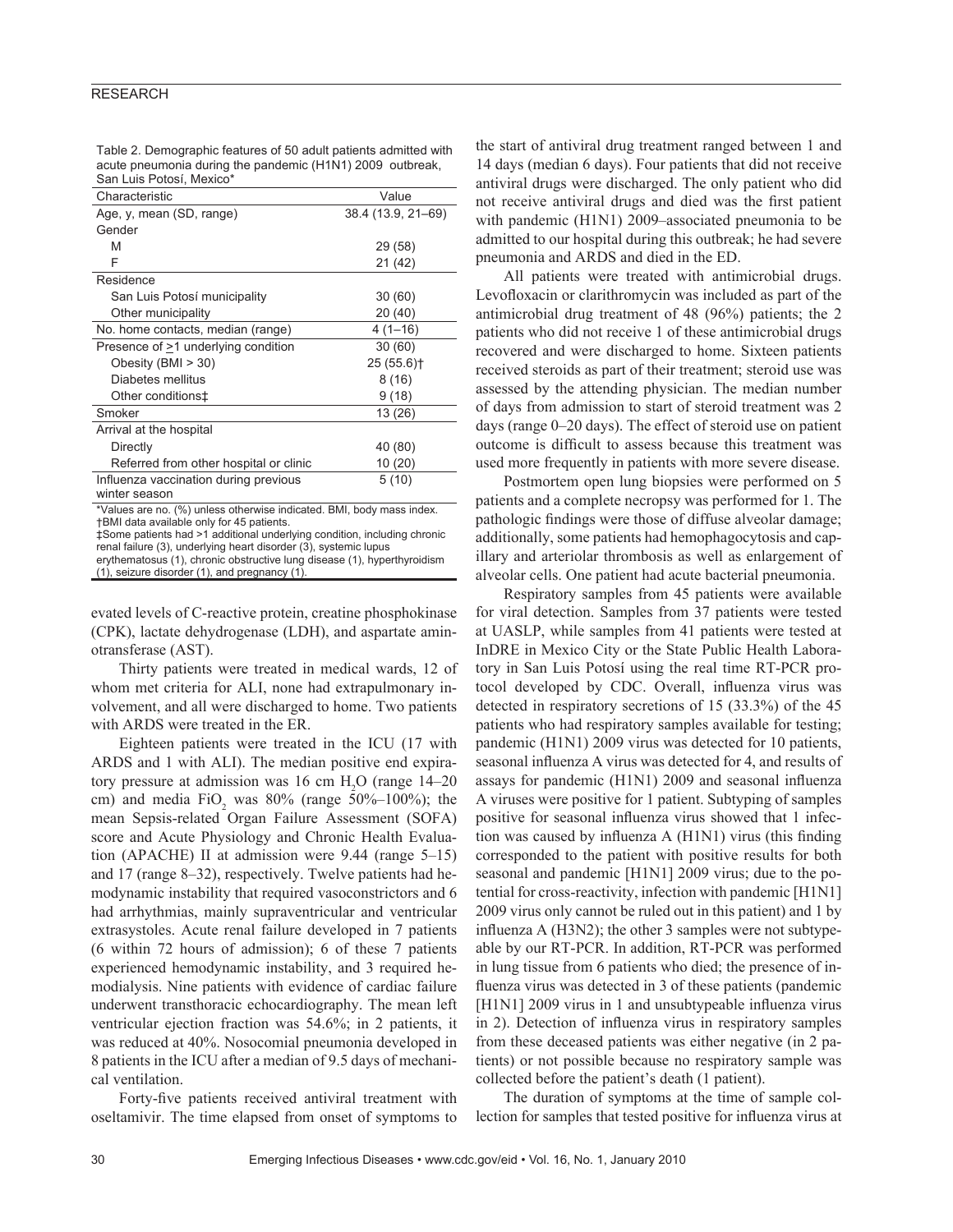Table 2. Demographic features of 50 adult patients admitted with acute pneumonia during the pandemic (H1N1) 2009 outbreak, San Luis Potosí, Mexico\*

| Characteristic                                                                                                     | Value                  |  |  |
|--------------------------------------------------------------------------------------------------------------------|------------------------|--|--|
| Age, y, mean (SD, range)                                                                                           | 38.4 (13.9, 21-69)     |  |  |
| Gender                                                                                                             |                        |  |  |
| M                                                                                                                  | 29 (58)                |  |  |
| F                                                                                                                  | 21 (42)                |  |  |
| Residence                                                                                                          |                        |  |  |
| San Luis Potosí municipality                                                                                       | 30(60)                 |  |  |
| Other municipality                                                                                                 | 20 (40)                |  |  |
| No. home contacts, median (range)                                                                                  | $4(1-16)$              |  |  |
| Presence of >1 underlying condition                                                                                | 30(60)                 |  |  |
| Obesity (BMI > 30)                                                                                                 | 25 (55.6) <sup>+</sup> |  |  |
| Diabetes mellitus                                                                                                  | 8(16)                  |  |  |
| Other conditions‡                                                                                                  | 9(18)                  |  |  |
| Smoker                                                                                                             | 13 (26)                |  |  |
| Arrival at the hospital                                                                                            |                        |  |  |
| Directly                                                                                                           | 40 (80)                |  |  |
| Referred from other hospital or clinic                                                                             | 10 (20)                |  |  |
| Influenza vaccination during previous                                                                              | 5 (10)                 |  |  |
| winter season                                                                                                      |                        |  |  |
| *Values are no. (%) unless otherwise indicated. BMI, body mass index.<br>†BMI data available only for 45 patients. |                        |  |  |

‡Some patients had >1 additional underlying condition, including chronic renal failure (3), underlying heart disorder (3), systemic lupus erythematosus (1), chronic obstructive lung disease (1), hyperthyroidism (1), seizure disorder (1), and pregnancy (1).

evated levels of C-reactive protein, creatine phosphokinase (CPK), lactate dehydrogenase (LDH), and aspartate aminotransferase (AST).

Thirty patients were treated in medical wards, 12 of whom met criteria for ALI, none had extrapulmonary involvement, and all were discharged to home. Two patients with ARDS were treated in the ER.

Eighteen patients were treated in the ICU (17 with ARDS and 1 with ALI). The median positive end expiratory pressure at admission was  $16 \text{ cm H}_2$ O (range  $14-20$ cm) and media  $FiO_2$  was 80% (range 50%–100%); the mean Sepsis-related Organ Failure Assessment (SOFA) score and Acute Physiology and Chronic Health Evaluation (APACHE) II at admission were 9.44 (range 5–15) and 17 (range 8–32), respectively. Twelve patients had hemodynamic instability that required vasoconstrictors and 6 had arrhythmias, mainly supraventricular and ventricular extrasystoles. Acute renal failure developed in 7 patients (6 within 72 hours of admission); 6 of these 7 patients experienced hemodynamic instability, and 3 required hemodialysis. Nine patients with evidence of cardiac failure underwent transthoracic echocardiography. The mean left ventricular ejection fraction was 54.6%; in 2 patients, it was reduced at 40%. Nosocomial pneumonia developed in 8 patients in the ICU after a median of 9.5 days of mechanical ventilation.

Forty-five patients received antiviral treatment with oseltamivir. The time elapsed from onset of symptoms to the start of antiviral drug treatment ranged between 1 and 14 days (median 6 days). Four patients that did not receive antiviral drugs were discharged. The only patient who did not receive antiviral drugs and died was the first patient with pandemic (H1N1) 2009–associated pneumonia to be admitted to our hospital during this outbreak; he had severe pneumonia and ARDS and died in the ED.

All patients were treated with antimicrobial drugs. Levofloxacin or clarithromycin was included as part of the antimicrobial drug treatment of 48 (96%) patients; the 2 patients who did not receive 1 of these antimicrobial drugs recovered and were discharged to home. Sixteen patients received steroids as part of their treatment; steroid use was assessed by the attending physician. The median number of days from admission to start of steroid treatment was 2 days (range 0–20 days). The effect of steroid use on patient outcome is difficult to assess because this treatment was used more frequently in patients with more severe disease.

Postmortem open lung biopsies were performed on 5 patients and a complete necropsy was performed for 1. The pathologic findings were those of diffuse alveolar damage; additionally, some patients had hemophagocytosis and capillary and arteriolar thrombosis as well as enlargement of alveolar cells. One patient had acute bacterial pneumonia.

Respiratory samples from 45 patients were available for viral detection. Samples from 37 patients were tested at UASLP, while samples from 41 patients were tested at InDRE in Mexico City or the State Public Health Laboratory in San Luis Potosí using the real time RT-PCR protocol developed by CDC. Overall, influenza virus was detected in respiratory secretions of 15 (33.3%) of the 45 patients who had respiratory samples available for testing; pandemic (H1N1) 2009 virus was detected for 10 patients, seasonal influenza A virus was detected for 4, and results of assays for pandemic  $(H1N1)$  2009 and seasonal influenza A viruses were positive for 1 patient. Subtyping of samples positive for seasonal influenza virus showed that 1 infection was caused by influenza  $A$  (H1N1) virus (this finding corresponded to the patient with positive results for both seasonal and pandemic [H1N1] 2009 virus; due to the potential for cross-reactivity, infection with pandemic [H1N1] 2009 virus only cannot be ruled out in this patient) and 1 by influenza A  $(H3N2)$ ; the other 3 samples were not subtypeable by our RT-PCR. In addition, RT-PCR was performed in lung tissue from 6 patients who died; the presence of influenza virus was detected in 3 of these patients (pandemic  $[H1N1]$  2009 virus in 1 and unsubtypeable influenza virus in 2). Detection of influenza virus in respiratory samples from these deceased patients was either negative (in 2 patients) or not possible because no respiratory sample was collected before the patient's death (1 patient).

The duration of symptoms at the time of sample collection for samples that tested positive for influenza virus at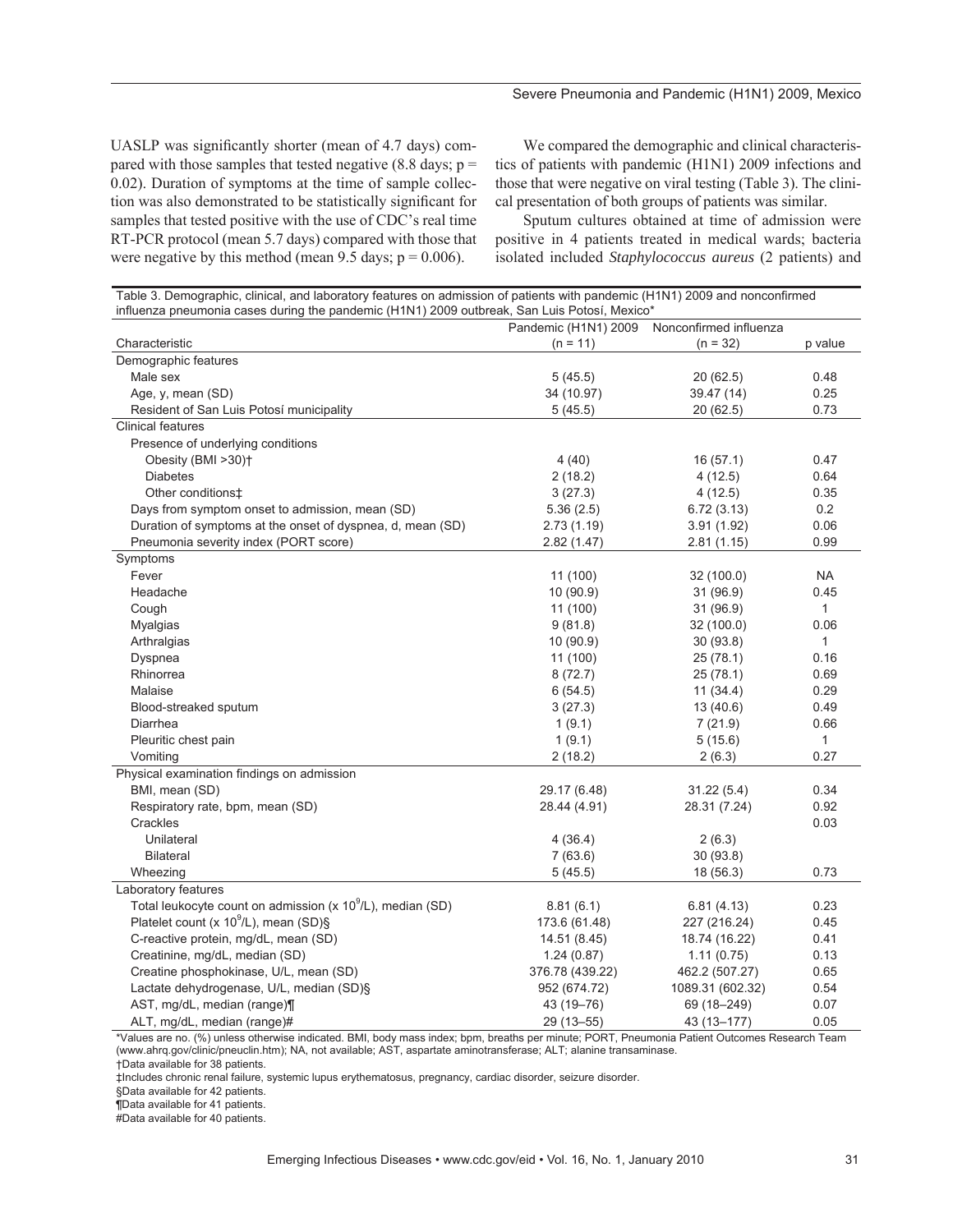UASLP was significantly shorter (mean of 4.7 days) compared with those samples that tested negative  $(8.8 \text{ days}; p =$ 0.02). Duration of symptoms at the time of sample collection was also demonstrated to be statistically significant for samples that tested positive with the use of CDC's real time RT-PCR protocol (mean 5.7 days) compared with those that were negative by this method (mean 9.5 days;  $p = 0.006$ ).

We compared the demographic and clinical characteristics of patients with pandemic (H1N1) 2009 infections and those that were negative on viral testing (Table 3). The clinical presentation of both groups of patients was similar.

Sputum cultures obtained at time of admission were positive in 4 patients treated in medical wards; bacteria isolated included *Staphylococcus aureus* (2 patients) and

| Table 3. Demographic, clinical, and laboratory features on admission of patients with pandemic (H1N1) 2009 and nonconfirmed |                 |                                             |              |  |  |  |
|-----------------------------------------------------------------------------------------------------------------------------|-----------------|---------------------------------------------|--------------|--|--|--|
| influenza pneumonia cases during the pandemic (H1N1) 2009 outbreak, San Luis Potosí, Mexico*                                |                 |                                             |              |  |  |  |
|                                                                                                                             |                 | Pandemic (H1N1) 2009 Nonconfirmed influenza |              |  |  |  |
| Characteristic                                                                                                              | $(n = 11)$      | $(n = 32)$                                  | p value      |  |  |  |
| Demographic features                                                                                                        |                 |                                             |              |  |  |  |
| Male sex                                                                                                                    | 5(45.5)         | 20(62.5)                                    | 0.48         |  |  |  |
| Age, y, mean (SD)                                                                                                           | 34 (10.97)      | 39.47 (14)                                  | 0.25         |  |  |  |
| Resident of San Luis Potosí municipality                                                                                    | 5(45.5)         | 20 (62.5)                                   | 0.73         |  |  |  |
| <b>Clinical features</b>                                                                                                    |                 |                                             |              |  |  |  |
| Presence of underlying conditions                                                                                           |                 |                                             |              |  |  |  |
| Obesity (BMI > 30) <sup>+</sup>                                                                                             | 4(40)           | 16(57.1)                                    | 0.47         |  |  |  |
| <b>Diabetes</b>                                                                                                             | 2(18.2)         | 4(12.5)                                     | 0.64         |  |  |  |
| Other conditions <sup>±</sup>                                                                                               | 3(27.3)         | 4(12.5)                                     | 0.35         |  |  |  |
| Days from symptom onset to admission, mean (SD)                                                                             | 5.36(2.5)       | 6.72(3.13)                                  | 0.2          |  |  |  |
| Duration of symptoms at the onset of dyspnea, d, mean (SD)                                                                  | 2.73(1.19)      | 3.91 (1.92)                                 | 0.06         |  |  |  |
| Pneumonia severity index (PORT score)                                                                                       | 2.82(1.47)      | 2.81(1.15)                                  | 0.99         |  |  |  |
| Symptoms                                                                                                                    |                 |                                             |              |  |  |  |
| Fever                                                                                                                       | 11 (100)        | 32 (100.0)                                  | <b>NA</b>    |  |  |  |
| Headache                                                                                                                    | 10 (90.9)       | 31 (96.9)                                   | 0.45         |  |  |  |
| Cough                                                                                                                       | 11 (100)        | 31 (96.9)                                   | $\mathbf{1}$ |  |  |  |
| Myalgias                                                                                                                    | 9(81.8)         | 32 (100.0)                                  | 0.06         |  |  |  |
| Arthralgias                                                                                                                 | 10(90.9)        | 30(93.8)                                    | $\mathbf{1}$ |  |  |  |
| Dyspnea                                                                                                                     | 11 (100)        | 25(78.1)                                    | 0.16         |  |  |  |
| Rhinorrea                                                                                                                   | 8(72.7)         | 25(78.1)                                    | 0.69         |  |  |  |
| Malaise                                                                                                                     | 6(54.5)         | 11(34.4)                                    | 0.29         |  |  |  |
| Blood-streaked sputum                                                                                                       | 3(27.3)         | 13 (40.6)                                   | 0.49         |  |  |  |
| Diarrhea                                                                                                                    | 1(9.1)          | 7(21.9)                                     | 0.66         |  |  |  |
| Pleuritic chest pain                                                                                                        | 1(9.1)          | 5(15.6)                                     | 1            |  |  |  |
| Vomiting                                                                                                                    | 2(18.2)         | 2(6.3)                                      | 0.27         |  |  |  |
| Physical examination findings on admission                                                                                  |                 |                                             |              |  |  |  |
| BMI, mean (SD)                                                                                                              | 29.17 (6.48)    | 31.22 (5.4)                                 | 0.34         |  |  |  |
| Respiratory rate, bpm, mean (SD)                                                                                            | 28.44 (4.91)    | 28.31 (7.24)                                | 0.92         |  |  |  |
| Crackles                                                                                                                    |                 |                                             | 0.03         |  |  |  |
| Unilateral                                                                                                                  | 4(36.4)         | 2(6.3)                                      |              |  |  |  |
| <b>Bilateral</b>                                                                                                            | 7(63.6)         | 30(93.8)                                    |              |  |  |  |
| Wheezing                                                                                                                    | 5(45.5)         | 18 (56.3)                                   | 0.73         |  |  |  |
| Laboratory features                                                                                                         |                 |                                             |              |  |  |  |
| Total leukocyte count on admission (x $10^9$ /L), median (SD)                                                               | 8.81(6.1)       | 6.81(4.13)                                  | 0.23         |  |  |  |
| Platelet count (x 10 <sup>9</sup> /L), mean (SD)§                                                                           | 173.6 (61.48)   | 227 (216.24)                                | 0.45         |  |  |  |
| C-reactive protein, mg/dL, mean (SD)                                                                                        | 14.51 (8.45)    | 18.74 (16.22)                               | 0.41         |  |  |  |
| Creatinine, mg/dL, median (SD)                                                                                              | 1.24(0.87)      | 1.11(0.75)                                  | 0.13         |  |  |  |
| Creatine phosphokinase, U/L, mean (SD)                                                                                      | 376.78 (439.22) | 462.2 (507.27)                              | 0.65         |  |  |  |
| Lactate dehydrogenase, U/L, median (SD)§                                                                                    | 952 (674.72)    | 1089.31 (602.32)                            | 0.54         |  |  |  |
| AST, mg/dL, median (range)¶                                                                                                 | 43 (19-76)      | 69 (18-249)                                 | 0.07         |  |  |  |
| ALT, mg/dL, median (range)#                                                                                                 | 29 (13-55)      | 43 (13-177)                                 | 0.05         |  |  |  |

\*Values are no. (%) unless otherwise indicated. BMI, body mass index; bpm, breaths per minute; PORT, Pneumonia Patient Outcomes Research Team (www.ahrq.gov/clinic/pneuclin.htm); NA, not available; AST, aspartate aminotransferase; ALT; alanine transaminase. †Data available for 38 patients.

‡Includes chronic renal failure, systemic lupus erythematosus, pregnancy, cardiac disorder, seizure disorder.

§Data available for 42 patients.

¶Data available for 41 patients.

#Data available for 40 patients.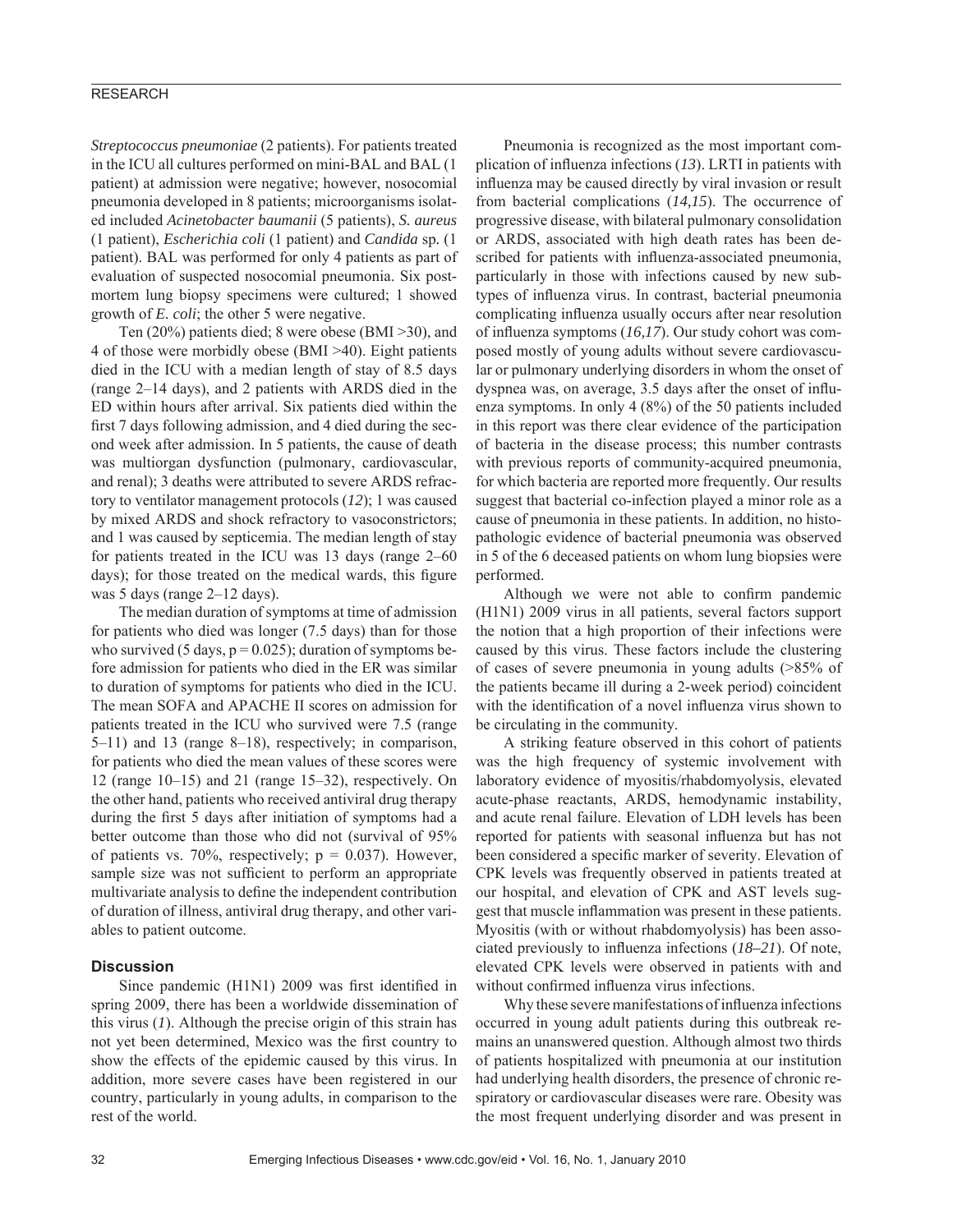*Streptococcus pneumoniae* (2 patients). For patients treated in the ICU all cultures performed on mini-BAL and BAL (1 patient) at admission were negative; however, nosocomial pneumonia developed in 8 patients; microorganisms isolated included *Acinetobacter baumanii* (5 patients), *S. aureus* (1 patient), *Escherichia coli* (1 patient) and *Candida* sp*.* (1 patient). BAL was performed for only 4 patients as part of evaluation of suspected nosocomial pneumonia. Six postmortem lung biopsy specimens were cultured; 1 showed growth of *E. coli*; the other 5 were negative.

Ten (20%) patients died; 8 were obese (BMI >30), and 4 of those were morbidly obese (BMI >40). Eight patients died in the ICU with a median length of stay of 8.5 days (range 2–14 days), and 2 patients with ARDS died in the ED within hours after arrival. Six patients died within the first 7 days following admission, and 4 died during the second week after admission. In 5 patients, the cause of death was multiorgan dysfunction (pulmonary, cardiovascular, and renal); 3 deaths were attributed to severe ARDS refractory to ventilator management protocols (*12*); 1 was caused by mixed ARDS and shock refractory to vasoconstrictors; and 1 was caused by septicemia. The median length of stay for patients treated in the ICU was 13 days (range 2–60 days); for those treated on the medical wards, this figure was 5 days (range 2–12 days).

The median duration of symptoms at time of admission for patients who died was longer (7.5 days) than for those who survived (5 days,  $p = 0.025$ ); duration of symptoms before admission for patients who died in the ER was similar to duration of symptoms for patients who died in the ICU. The mean SOFA and APACHE II scores on admission for patients treated in the ICU who survived were 7.5 (range 5–11) and 13 (range 8–18), respectively; in comparison, for patients who died the mean values of these scores were 12 (range 10–15) and 21 (range 15–32), respectively. On the other hand, patients who received antiviral drug therapy during the first 5 days after initiation of symptoms had a better outcome than those who did not (survival of 95% of patients vs. 70%, respectively;  $p = 0.037$ ). However, sample size was not sufficient to perform an appropriate multivariate analysis to define the independent contribution of duration of illness, antiviral drug therapy, and other variables to patient outcome.

# **Discussion**

Since pandemic (H1N1) 2009 was first identified in spring 2009, there has been a worldwide dissemination of this virus (*1*). Although the precise origin of this strain has not yet been determined, Mexico was the first country to show the effects of the epidemic caused by this virus. In addition, more severe cases have been registered in our country, particularly in young adults, in comparison to the rest of the world.

Pneumonia is recognized as the most important complication of influenza infections (13). LRTI in patients with influenza may be caused directly by viral invasion or result from bacterial complications (*14,15*). The occurrence of progressive disease, with bilateral pulmonary consolidation or ARDS, associated with high death rates has been described for patients with influenza-associated pneumonia, particularly in those with infections caused by new subtypes of influenza virus. In contrast, bacterial pneumonia complicating influenza usually occurs after near resolution of influenza symptoms (16,17). Our study cohort was composed mostly of young adults without severe cardiovascular or pulmonary underlying disorders in whom the onset of dyspnea was, on average, 3.5 days after the onset of influenza symptoms. In only 4 (8%) of the 50 patients included in this report was there clear evidence of the participation of bacteria in the disease process; this number contrasts with previous reports of community-acquired pneumonia, for which bacteria are reported more frequently. Our results suggest that bacterial co-infection played a minor role as a cause of pneumonia in these patients. In addition, no histopathologic evidence of bacterial pneumonia was observed in 5 of the 6 deceased patients on whom lung biopsies were performed.

Although we were not able to confirm pandemic (H1N1) 2009 virus in all patients, several factors support the notion that a high proportion of their infections were caused by this virus. These factors include the clustering of cases of severe pneumonia in young adults (>85% of the patients became ill during a 2-week period) coincident with the identification of a novel influenza virus shown to be circulating in the community.

A striking feature observed in this cohort of patients was the high frequency of systemic involvement with laboratory evidence of myositis/rhabdomyolysis, elevated acute-phase reactants, ARDS, hemodynamic instability, and acute renal failure. Elevation of LDH levels has been reported for patients with seasonal influenza but has not been considered a specific marker of severity. Elevation of CPK levels was frequently observed in patients treated at our hospital, and elevation of CPK and AST levels suggest that muscle inflammation was present in these patients. Myositis (with or without rhabdomyolysis) has been associated previously to influenza infections (18–21). Of note, elevated CPK levels were observed in patients with and without confirmed influenza virus infections.

Why these severe manifestations of influenza infections occurred in young adult patients during this outbreak remains an unanswered question. Although almost two thirds of patients hospitalized with pneumonia at our institution had underlying health disorders, the presence of chronic respiratory or cardiovascular diseases were rare. Obesity was the most frequent underlying disorder and was present in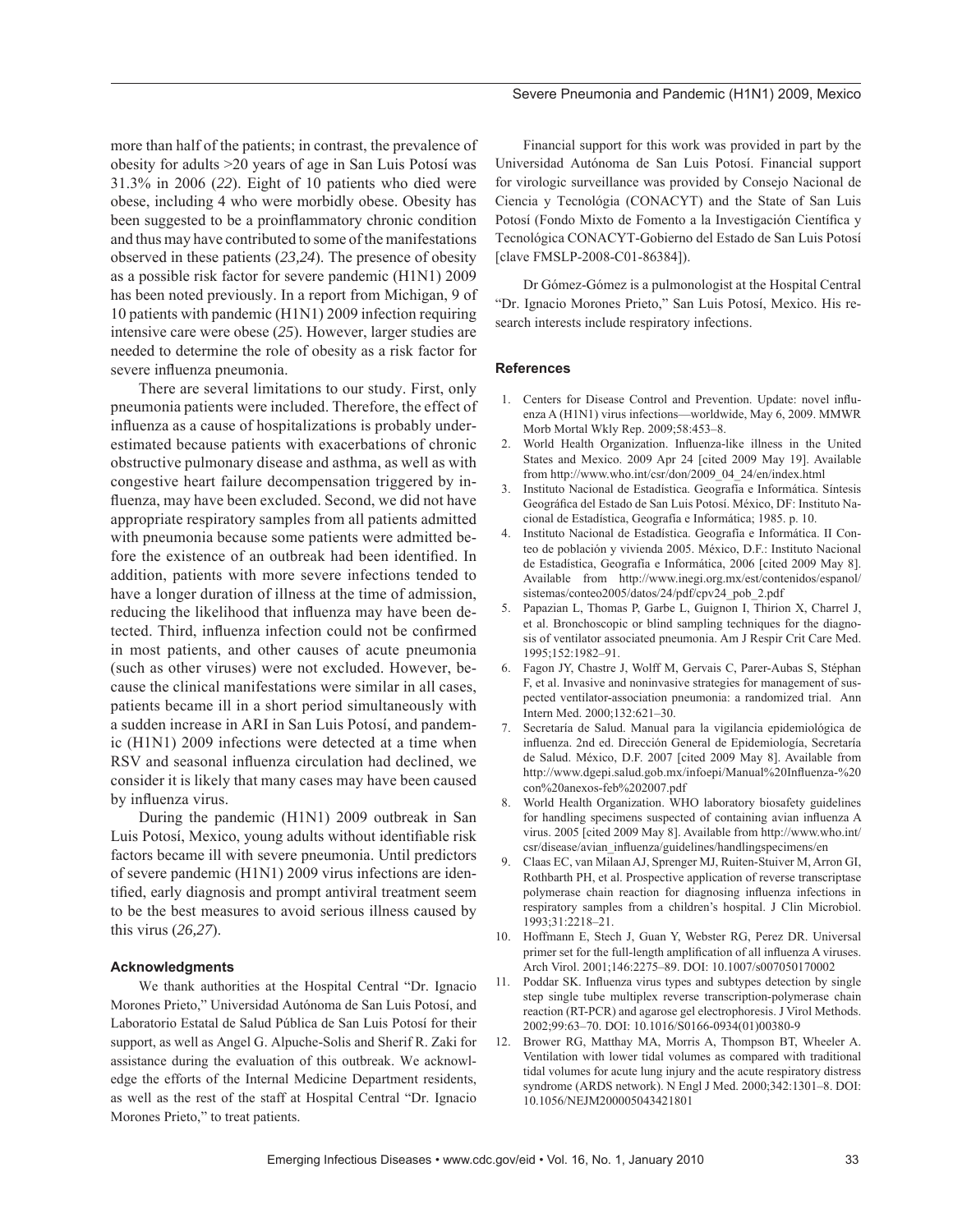more than half of the patients; in contrast, the prevalence of obesity for adults >20 years of age in San Luis Potosí was 31.3% in 2006 (*22*). Eight of 10 patients who died were obese, including 4 who were morbidly obese. Obesity has been suggested to be a proinflammatory chronic condition and thus may have contributed to some of the manifestations observed in these patients (*23,24*). The presence of obesity as a possible risk factor for severe pandemic (H1N1) 2009 has been noted previously. In a report from Michigan, 9 of 10 patients with pandemic (H1N1) 2009 infection requiring intensive care were obese (*25*). However, larger studies are needed to determine the role of obesity as a risk factor for severe influenza pneumonia.

There are several limitations to our study. First, only pneumonia patients were included. Therefore, the effect of influenza as a cause of hospitalizations is probably underestimated because patients with exacerbations of chronic obstructive pulmonary disease and asthma, as well as with congestive heart failure decompensation triggered by influenza, may have been excluded. Second, we did not have appropriate respiratory samples from all patients admitted with pneumonia because some patients were admitted before the existence of an outbreak had been identified. In addition, patients with more severe infections tended to have a longer duration of illness at the time of admission, reducing the likelihood that influenza may have been detected. Third, influenza infection could not be confirmed in most patients, and other causes of acute pneumonia (such as other viruses) were not excluded. However, because the clinical manifestations were similar in all cases, patients became ill in a short period simultaneously with a sudden increase in ARI in San Luis Potosí, and pandemic (H1N1) 2009 infections were detected at a time when RSV and seasonal influenza circulation had declined, we consider it is likely that many cases may have been caused by influenza virus.

During the pandemic (H1N1) 2009 outbreak in San Luis Potosí, Mexico, young adults without identifiable risk factors became ill with severe pneumonia. Until predictors of severe pandemic (H1N1) 2009 virus infections are identified, early diagnosis and prompt antiviral treatment seem to be the best measures to avoid serious illness caused by this virus (*26,27*).

# **Acknowledgments**

We thank authorities at the Hospital Central "Dr. Ignacio Morones Prieto," Universidad Autónoma de San Luis Potosí, and Laboratorio Estatal de Salud Pública de San Luis Potosí for their support, as well as Angel G. Alpuche-Solis and Sherif R. Zaki for assistance during the evaluation of this outbreak. We acknowledge the efforts of the Internal Medicine Department residents, as well as the rest of the staff at Hospital Central "Dr. Ignacio Morones Prieto," to treat patients.

Financial support for this work was provided in part by the Universidad Autónoma de San Luis Potosí. Financial support for virologic surveillance was provided by Consejo Nacional de Ciencia y Tecnológia (CONACYT) and the State of San Luis Potosí (Fondo Mixto de Fomento a la Investigación Científica y Tecnológica CONACYT-Gobierno del Estado de San Luis Potosí [clave FMSLP-2008-C01-86384]).

Dr Gómez-Gómez is a pulmonologist at the Hospital Central "Dr. Ignacio Morones Prieto," San Luis Potosí, Mexico. His research interests include respiratory infections.

#### **References**

- 1. Centers for Disease Control and Prevention. Update: novel influenza A (H1N1) virus infections—worldwide, May 6, 2009. MMWR Morb Mortal Wkly Rep. 2009;58:453–8.
- 2. World Health Organization. Influenza-like illness in the United States and Mexico. 2009 Apr 24 [cited 2009 May 19]. Available from http://www.who.int/csr/don/2009\_04\_24/en/index.html
- 3. Instituto Nacional de Estadística. Geografía e Informática. Síntesis Geográfica del Estado de San Luis Potosí. México, DF: Instituto Nacional de Estadística, Geografía e Informática; 1985. p. 10.
- 4. Instituto Nacional de Estadística. Geografía e Informática. II Conteo de población y vivienda 2005. México, D.F.: Instituto Nacional de Estadística, Geografía e Informática, 2006 [cited 2009 May 8]. Available from http://www.inegi.org.mx/est/contenidos/espanol/ sistemas/conteo2005/datos/24/pdf/cpv24\_pob\_2.pdf
- 5. Papazian L, Thomas P, Garbe L, Guignon I, Thirion X, Charrel J, et al. Bronchoscopic or blind sampling techniques for the diagnosis of ventilator associated pneumonia. Am J Respir Crit Care Med. 1995;152:1982–91.
- 6. Fagon JY, Chastre J, Wolff M, Gervais C, Parer-Aubas S, Stéphan F, et al. Invasive and noninvasive strategies for management of suspected ventilator-association pneumonia: a randomized trial. Ann Intern Med. 2000;132:621–30.
- 7. Secretaría de Salud. Manual para la vigilancia epidemiológica de influenza. 2nd ed. Dirección General de Epidemiología, Secretaría de Salud. México, D.F. 2007 [cited 2009 May 8]. Available from http://www.dgepi.salud.gob.mx/infoepi/Manual%20Influenza-%20 con%20anexos-feb%202007.pdf
- 8. World Health Organization. WHO laboratory biosafety guidelines for handling specimens suspected of containing avian influenza A virus. 2005 [cited 2009 May 8]. Available from http://www.who.int/ csr/disease/avian\_influenza/guidelines/handlingspecimens/en
- 9. Claas EC, van Milaan AJ, Sprenger MJ, Ruiten-Stuiver M, Arron GI, Rothbarth PH, et al. Prospective application of reverse transcriptase polymerase chain reaction for diagnosing influenza infections in respiratory samples from a children's hospital. J Clin Microbiol. 1993;31:2218–21.
- 10. Hoffmann E, Stech J, Guan Y, Webster RG, Perez DR. Universal primer set for the full-length amplification of all influenza A viruses. Arch Virol. 2001;146:2275–89. DOI: 10.1007/s007050170002
- 11. Poddar SK. Influenza virus types and subtypes detection by single step single tube multiplex reverse transcription-polymerase chain reaction (RT-PCR) and agarose gel electrophoresis. J Virol Methods. 2002;99:63–70. DOI: 10.1016/S0166-0934(01)00380-9
- 12. Brower RG, Matthay MA, Morris A, Thompson BT, Wheeler A. Ventilation with lower tidal volumes as compared with traditional tidal volumes for acute lung injury and the acute respiratory distress syndrome (ARDS network). N Engl J Med. 2000;342:1301–8. DOI: 10.1056/NEJM200005043421801